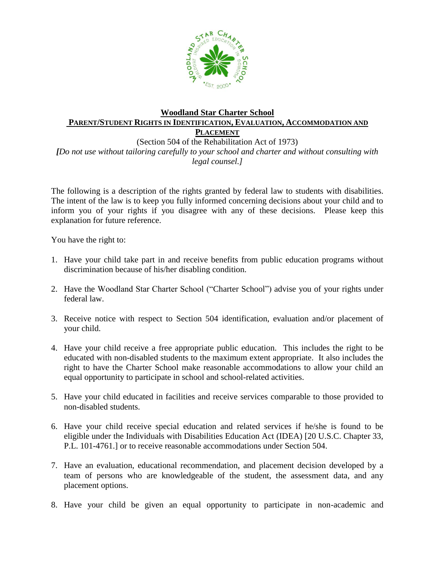

## **Woodland Star Charter School PARENT/STUDENT RIGHTS IN IDENTIFICATION, EVALUATION, ACCOMMODATION AND PLACEMENT**

(Section 504 of the Rehabilitation Act of 1973) *[Do not use without tailoring carefully to your school and charter and without consulting with legal counsel.]*

The following is a description of the rights granted by federal law to students with disabilities. The intent of the law is to keep you fully informed concerning decisions about your child and to inform you of your rights if you disagree with any of these decisions. Please keep this explanation for future reference.

You have the right to:

- 1. Have your child take part in and receive benefits from public education programs without discrimination because of his/her disabling condition.
- 2. Have the Woodland Star Charter School ("Charter School") advise you of your rights under federal law.
- 3. Receive notice with respect to Section 504 identification, evaluation and/or placement of your child.
- 4. Have your child receive a free appropriate public education. This includes the right to be educated with non-disabled students to the maximum extent appropriate. It also includes the right to have the Charter School make reasonable accommodations to allow your child an equal opportunity to participate in school and school-related activities.
- 5. Have your child educated in facilities and receive services comparable to those provided to non-disabled students.
- 6. Have your child receive special education and related services if he/she is found to be eligible under the Individuals with Disabilities Education Act (IDEA) [20 U.S.C. Chapter 33, P.L. 101-4761.] or to receive reasonable accommodations under Section 504.
- 7. Have an evaluation, educational recommendation, and placement decision developed by a team of persons who are knowledgeable of the student, the assessment data, and any placement options.
- 8. Have your child be given an equal opportunity to participate in non-academic and